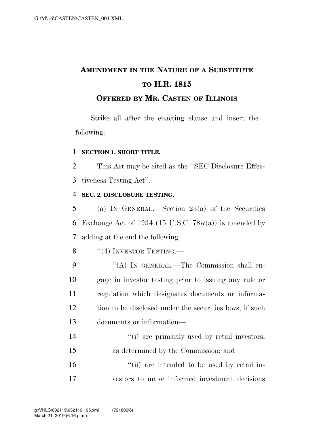## **AMENDMENT IN THE NATURE OF A SUBSTITUTE TO H.R. 1815**

## **OFFERED BY MR. CASTEN OF ILLINOIS**

Strike all after the enacting clause and insert the following:

## 1 **SECTION 1. SHORT TITLE.**

2 This Act may be cited as the ''SEC Disclosure Effec-3 tiveness Testing Act''.

## 4 **SEC. 2. DISCLOSURE TESTING.**

5 (a) IN GENERAL.—Section 23(a) of the Securities 6 Exchange Act of 1934 (15 U.S.C.  $78w(a)$ ) is amended by 7 adding at the end the following:

- 8  $"$ (4) INVESTOR TESTING.
- 9 "(A) IN GENERAL.—The Commission shall en-10 gage in investor testing prior to issuing any rule or 11 regulation which designates documents or informa-12 tion to be disclosed under the securities laws, if such 13 documents or information—
- 14  $(1)$  are primarily used by retail investors, 15 as determined by the Commission; and 16  $\frac{1}{10}$  are intended to be used by retail in-
- 17 vestors to make informed investment decisions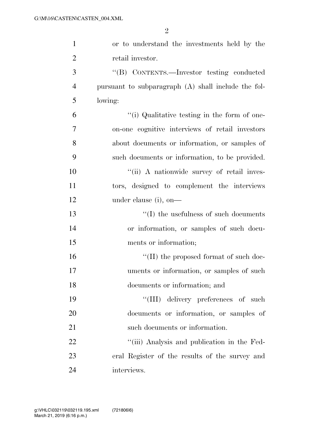| $\mathbf{1}$   | or to understand the investments held by the          |
|----------------|-------------------------------------------------------|
| $\overline{2}$ | retail investor.                                      |
| 3              | "(B) CONTENTS.—Investor testing conducted             |
| $\overline{4}$ | pursuant to subparagraph $(A)$ shall include the fol- |
| 5              | lowing:                                               |
| 6              | "(i) Qualitative testing in the form of one-          |
| $\overline{7}$ | on-one cognitive interviews of retail investors       |
| 8              | about documents or information, or samples of         |
| 9              | such documents or information, to be provided.        |
| 10             | "(ii) A nationwide survey of retail inves-            |
| 11             | tors, designed to complement the interviews           |
| 12             | under clause (i), on-                                 |
| 13             | $\lq\lq$ the usefulness of such documents             |
| 14             | or information, or samples of such docu-              |
| 15             | ments or information;                                 |
| 16             | $\lq\lq$ (II) the proposed format of such doc-        |
| 17             | uments or information, or samples of such             |
| 18             | documents or information; and                         |
| 19             | "(III) delivery preferences of such                   |
| 20             | documents or information, or samples of               |
| 21             | such documents or information.                        |
| 22             | "(iii) Analysis and publication in the Fed-           |
| 23             | eral Register of the results of the survey and        |
| 24             | interviews.                                           |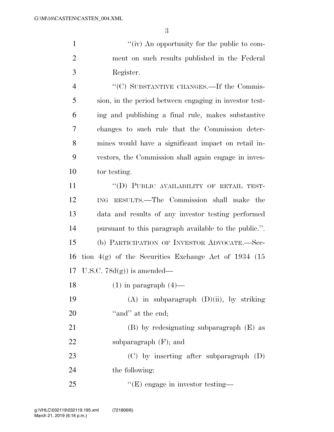1  $''(iv)$  An opportunity for the public to com- ment on such results published in the Federal Register.

4 "(C) SUBSTANTIVE CHANGES.—If the Commis- sion, in the period between engaging in investor test- ing and publishing a final rule, makes substantive changes to such rule that the Commission deter- mines would have a significant impact on retail in- vestors, the Commission shall again engage in inves-tor testing.

11 "(D) PUBLIC AVAILABILITY OF RETAIL TEST- ING RESULTS.—The Commission shall make the data and results of any investor testing performed pursuant to this paragraph available to the public.''. (b) PARTICIPATION OF INVESTOR ADVOCATE.—Sec- tion 4(g) of the Securities Exchange Act of 1934 (15 U.S.C. 78d(g)) is amended—

18  $(1)$  in paragraph  $(4)$ —

19  $(A)$  in subparagraph  $(D)(ii)$ , by striking 20 "and" at the end:

 (B) by redesignating subparagraph (E) as subparagraph (F); and

 (C) by inserting after subparagraph (D) the following:

25  $C(E)$  engage in investor testing—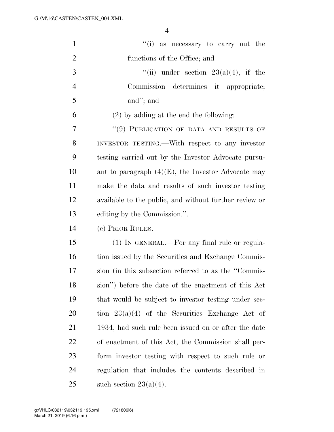| $\mathbf{1}$   | "(i) as necessary to carry out the                     |
|----------------|--------------------------------------------------------|
| $\overline{2}$ | functions of the Office; and                           |
| 3              | "(ii) under section $23(a)(4)$ , if the                |
| $\overline{4}$ | Commission determines it appropriate;                  |
| 5              | and"; and                                              |
| 6              | $(2)$ by adding at the end the following:              |
| 7              | "(9) PUBLICATION OF DATA AND RESULTS OF                |
| 8              | INVESTOR TESTING.—With respect to any investor         |
| 9              | testing carried out by the Investor Advocate pursu-    |
| 10             | ant to paragraph $(4)(E)$ , the Investor Advocate may  |
| 11             | make the data and results of such investor testing     |
| 12             | available to the public, and without further review or |
| 13             | editing by the Commission.".                           |
| 14             | (c) PRIOR RULES.—                                      |
| 15             | (1) IN GENERAL.—For any final rule or regula-          |
| 16             | tion issued by the Securities and Exchange Commis-     |
| 17             | sion (in this subsection referred to as the "Commis-   |
| 18             | sion") before the date of the enactment of this Act    |
| 19             | that would be subject to investor testing under sec-   |
| 20             | tion $23(a)(4)$ of the Securities Exchange Act of      |
| 21             | 1934, had such rule been issued on or after the date   |
| 22             | of enactment of this Act, the Commission shall per-    |
| 23             | form investor testing with respect to such rule or     |
| 24             | regulation that includes the contents described in     |
| 25             | such section $23(a)(4)$ .                              |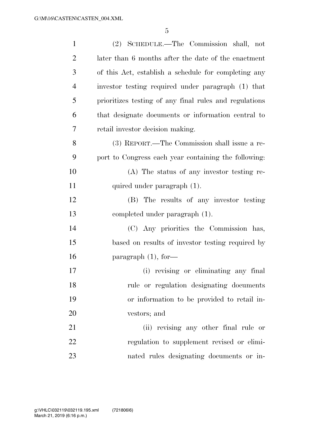| $\mathbf{1}$   | (2) SCHEDULE.—The Commission shall, not                |
|----------------|--------------------------------------------------------|
| $\overline{2}$ | later than 6 months after the date of the enactment    |
| 3              | of this Act, establish a schedule for completing any   |
| 4              | investor testing required under paragraph (1) that     |
| 5              | prioritizes testing of any final rules and regulations |
| 6              | that designate documents or information central to     |
| 7              | retail investor decision making.                       |
| 8              | (3) REPORT.—The Commission shall issue a re-           |
| 9              | port to Congress each year containing the following:   |
| 10             | (A) The status of any investor testing re-             |
| 11             | quired under paragraph (1).                            |
| 12             | (B) The results of any investor testing                |
| 13             | completed under paragraph (1).                         |
| 14             | (C) Any priorities the Commission has,                 |
| 15             | based on results of investor testing required by       |
| 16             | paragraph $(1)$ , for-                                 |
| 17             | (i) revising or eliminating any final                  |
| 18             | rule or regulation designating documents               |
| 19             | or information to be provided to retail in-            |
| 20             | vestors; and                                           |
| 21             | (ii) revising any other final rule or                  |
| $22\,$         | regulation to supplement revised or elimi-             |
| 23             | nated rules designating documents or in-               |